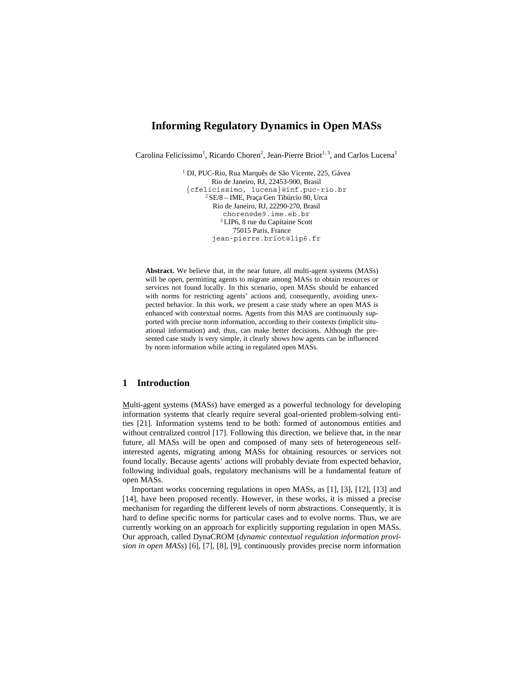# **Informing Regulatory Dynamics in Open MASs**

Carolina Felicíssimo<sup>1</sup>, Ricardo Choren<sup>2</sup>, Jean-Pierre Briot<sup>1, 3</sup>, and Carlos Lucena<sup>1</sup>

<sup>1</sup> DI, PUC-Rio, Rua Marquês de São Vicente, 225, Gávea Rio de Janeiro, RJ, 22453-900, Brasil {cfelicissimo, lucena}@inf.puc-rio.br 2 SE/8 – IME, Praça Gen Tibúrcio 80, Urca Rio de Janeiro, RJ, 22290-270, Brasil choren@de9.ime.eb.br 3 LIP6, 8 rue du Capitaine Scott 75015 Paris, France jean-pierre.briot@lip6.fr

**Abstract.** We believe that, in the near future, all multi-agent systems (MASs) will be open, permitting agents to migrate among MASs to obtain resources or services not found locally. In this scenario, open MASs should be enhanced with norms for restricting agents' actions and, consequently, avoiding unexpected behavior. In this work, we present a case study where an open MAS is enhanced with contextual norms. Agents from this MAS are continuously supported with precise norm information, according to their contexts (implicit situational information) and, thus, can make better decisions. Although the presented case study is very simple, it clearly shows how agents can be influenced by norm information while acting in regulated open MASs.

### **1 Introduction**

Multi-agent systems (MASs) have emerged as a powerful technology for developing information systems that clearly require several goal-oriented problem-solving entities [21]. Information systems tend to be both: formed of autonomous entities and without centralized control [17]. Following this direction, we believe that, in the near future, all MASs will be open and composed of many sets of heterogeneous selfinterested agents, migrating among MASs for obtaining resources or services not found locally. Because agents' actions will probably deviate from expected behavior, following individual goals, regulatory mechanisms will be a fundamental feature of open MASs.

Important works concerning regulations in open MASs, as [1], [3], [12], [13] and [14], have been proposed recently. However, in these works, it is missed a precise mechanism for regarding the different levels of norm abstractions. Consequently, it is hard to define specific norms for particular cases and to evolve norms. Thus, we are currently working on an approach for explicitly supporting regulation in open MASs. Our approach, called DynaCROM (*dynamic contextual regulation information provision in open MASs*) [6], [7], [8], [9], continuously provides precise norm information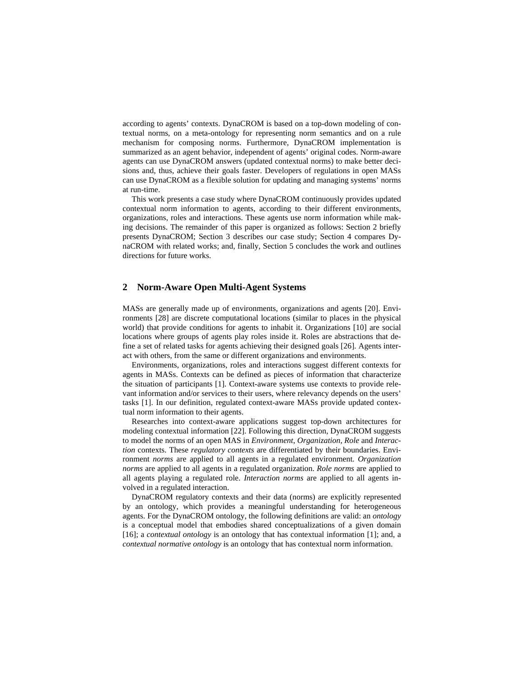according to agents' contexts. DynaCROM is based on a top-down modeling of contextual norms, on a meta-ontology for representing norm semantics and on a rule mechanism for composing norms. Furthermore, DynaCROM implementation is summarized as an agent behavior, independent of agents' original codes. Norm-aware agents can use DynaCROM answers (updated contextual norms) to make better decisions and, thus, achieve their goals faster. Developers of regulations in open MASs can use DynaCROM as a flexible solution for updating and managing systems' norms at run-time.

This work presents a case study where DynaCROM continuously provides updated contextual norm information to agents, according to their different environments, organizations, roles and interactions. These agents use norm information while making decisions. The remainder of this paper is organized as follows: Section 2 briefly presents DynaCROM; Section 3 describes our case study; Section 4 compares DynaCROM with related works; and, finally, Section 5 concludes the work and outlines directions for future works.

## **2 Norm-Aware Open Multi-Agent Systems**

MASs are generally made up of environments, organizations and agents [20]. Environments [28] are discrete computational locations (similar to places in the physical world) that provide conditions for agents to inhabit it. Organizations [10] are social locations where groups of agents play roles inside it. Roles are abstractions that define a set of related tasks for agents achieving their designed goals [26]. Agents interact with others, from the same or different organizations and environments.

Environments, organizations, roles and interactions suggest different contexts for agents in MASs. Contexts can be defined as pieces of information that characterize the situation of participants [1]. Context-aware systems use contexts to provide relevant information and/or services to their users, where relevancy depends on the users' tasks [1]. In our definition, regulated context-aware MASs provide updated contextual norm information to their agents.

Researches into context-aware applications suggest top-down architectures for modeling contextual information [22]. Following this direction, DynaCROM suggests to model the norms of an open MAS in *Environment*, *Organization*, *Role* and *Interaction* contexts. These *regulatory contexts* are differentiated by their boundaries. Environment *norms* are applied to all agents in a regulated environment. *Organization norms* are applied to all agents in a regulated organization. *Role norms* are applied to all agents playing a regulated role. *Interaction norms* are applied to all agents involved in a regulated interaction.

DynaCROM regulatory contexts and their data (norms) are explicitly represented by an ontology, which provides a meaningful understanding for heterogeneous agents. For the DynaCROM ontology, the following definitions are valid: an *ontology* is a conceptual model that embodies shared conceptualizations of a given domain [16]; a *contextual ontology* is an ontology that has contextual information [1]; and, a *contextual normative ontology* is an ontology that has contextual norm information.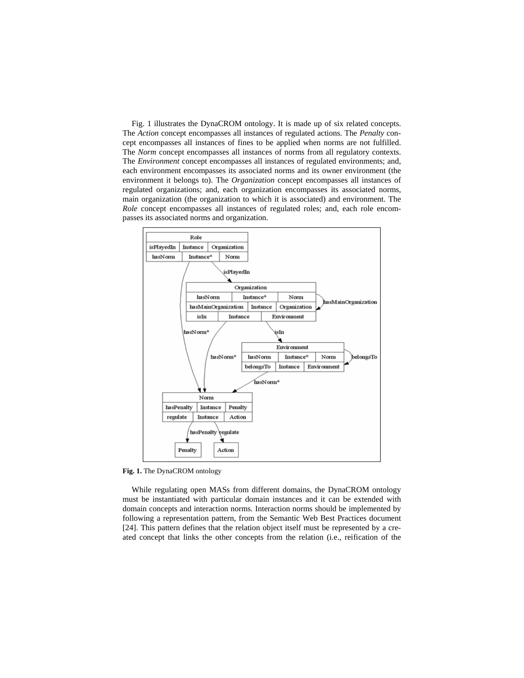Fig. 1 illustrates the DynaCROM ontology. It is made up of six related concepts. The *Action* concept encompasses all instances of regulated actions. The *Penalty* concept encompasses all instances of fines to be applied when norms are not fulfilled. The *Norm* concept encompasses all instances of norms from all regulatory contexts. The *Environment* concept encompasses all instances of regulated environments; and, each environment encompasses its associated norms and its owner environment (the environment it belongs to). The *Organization* concept encompasses all instances of regulated organizations; and, each organization encompasses its associated norms, main organization (the organization to which it is associated) and environment. The *Role* concept encompasses all instances of regulated roles; and, each role encompasses its associated norms and organization.



**Fig. 1.** The DynaCROM ontology

While regulating open MASs from different domains, the DynaCROM ontology must be instantiated with particular domain instances and it can be extended with domain concepts and interaction norms. Interaction norms should be implemented by following a representation pattern, from the Semantic Web Best Practices document [24]. This pattern defines that the relation object itself must be represented by a created concept that links the other concepts from the relation (i.e., reification of the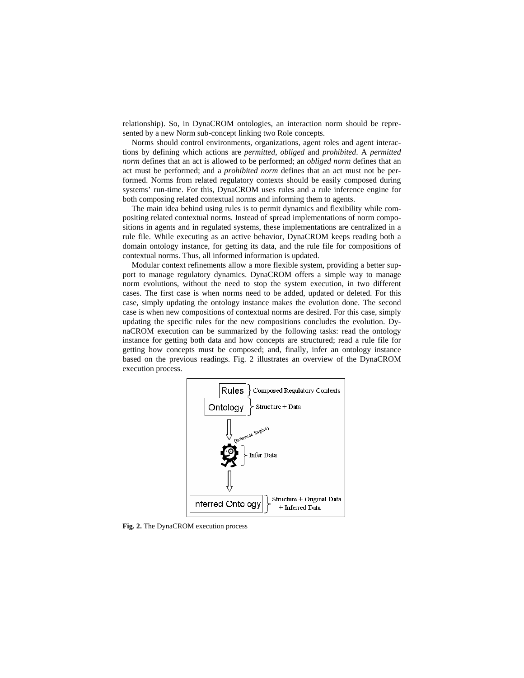relationship). So, in DynaCROM ontologies, an interaction norm should be represented by a new Norm sub-concept linking two Role concepts.

Norms should control environments, organizations, agent roles and agent interactions by defining which actions are *permitted*, *obliged* and *prohibited*. A *permitted norm* defines that an act is allowed to be performed; an *obliged norm* defines that an act must be performed; and a *prohibited norm* defines that an act must not be performed. Norms from related regulatory contexts should be easily composed during systems' run-time. For this, DynaCROM uses rules and a rule inference engine for both composing related contextual norms and informing them to agents.

The main idea behind using rules is to permit dynamics and flexibility while compositing related contextual norms. Instead of spread implementations of norm compositions in agents and in regulated systems, these implementations are centralized in a rule file. While executing as an active behavior, DynaCROM keeps reading both a domain ontology instance, for getting its data, and the rule file for compositions of contextual norms. Thus, all informed information is updated.

Modular context refinements allow a more flexible system, providing a better support to manage regulatory dynamics. DynaCROM offers a simple way to manage norm evolutions, without the need to stop the system execution, in two different cases. The first case is when norms need to be added, updated or deleted. For this case, simply updating the ontology instance makes the evolution done. The second case is when new compositions of contextual norms are desired. For this case, simply updating the specific rules for the new compositions concludes the evolution. DynaCROM execution can be summarized by the following tasks: read the ontology instance for getting both data and how concepts are structured; read a rule file for getting how concepts must be composed; and, finally, infer an ontology instance based on the previous readings. Fig. 2 illustrates an overview of the DynaCROM execution process.



**Fig. 2.** The DynaCROM execution process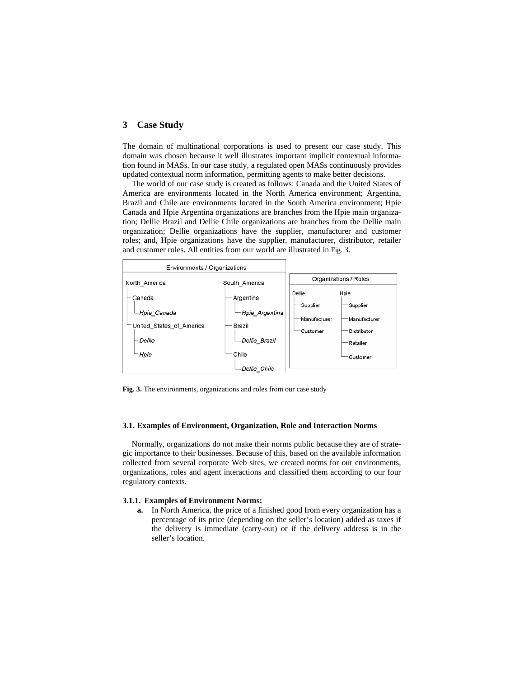## **3 Case Study**

The domain of multinational corporations is used to present our case study. This domain was chosen because it well illustrates important implicit contextual information found in MASs. In our case study, a regulated open MASs continuously provides updated contextual norm information, permitting agents to make better decisions.

The world of our case study is created as follows: Canada and the United States of America are environments located in the North America environment; Argentina, Brazil and Chile are environments located in the South America environment; Hpie Canada and Hpie Argentina organizations are branches from the Hpie main organization; Dellie Brazil and Dellie Chile organizations are branches from the Dellie main organization; Dellie organizations have the supplier, manufacturer and customer roles; and, Hpie organizations have the supplier, manufacturer, distributor, retailer and customer roles. All entities from our world are illustrated in Fig. 3.



**Fig. 3.** The environments, organizations and roles from our case study

#### **3.1. Examples of Environment, Organization, Role and Interaction Norms**

Normally, organizations do not make their norms public because they are of strategic importance to their businesses. Because of this, based on the available information collected from several corporate Web sites, we created norms for our environments, organizations, roles and agent interactions and classified them according to our four regulatory contexts.

#### **3.1.1. Examples of Environment Norms:**

**a.** In North America, the price of a finished good from every organization has a percentage of its price (depending on the seller's location) added as taxes if the delivery is immediate (carry-out) or if the delivery address is in the seller's location.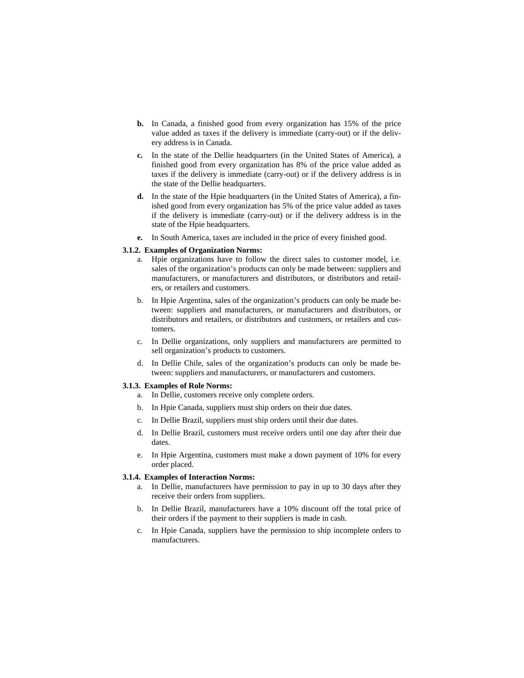- **b.** In Canada, a finished good from every organization has 15% of the price value added as taxes if the delivery is immediate (carry-out) or if the delivery address is in Canada.
- **c.** In the state of the Dellie headquarters (in the United States of America), a finished good from every organization has 8% of the price value added as taxes if the delivery is immediate (carry-out) or if the delivery address is in the state of the Dellie headquarters.
- **d.** In the state of the Hpie headquarters (in the United States of America), a finished good from every organization has 5% of the price value added as taxes if the delivery is immediate (carry-out) or if the delivery address is in the state of the Hpie headquarters.
- **e.** In South America, taxes are included in the price of every finished good.

#### **3.1.2. Examples of Organization Norms:**

- a. Hpie organizations have to follow the direct sales to customer model, i.e. sales of the organization's products can only be made between: suppliers and manufacturers, or manufacturers and distributors, or distributors and retailers, or retailers and customers.
- b. In Hpie Argentina, sales of the organization's products can only be made between: suppliers and manufacturers, or manufacturers and distributors, or distributors and retailers, or distributors and customers, or retailers and customers.
- c. In Dellie organizations, only suppliers and manufacturers are permitted to sell organization's products to customers.
- d. In Dellie Chile, sales of the organization's products can only be made between: suppliers and manufacturers, or manufacturers and customers.

### **3.1.3. Examples of Role Norms:**

- a. In Dellie, customers receive only complete orders.
- b. In Hpie Canada, suppliers must ship orders on their due dates.
- c. In Dellie Brazil, suppliers must ship orders until their due dates.
- d. In Dellie Brazil, customers must receive orders until one day after their due dates.
- e. In Hpie Argentina, customers must make a down payment of 10% for every order placed.

#### **3.1.4. Examples of Interaction Norms:**

- a. In Dellie, manufacturers have permission to pay in up to 30 days after they receive their orders from suppliers.
- b. In Dellie Brazil, manufacturers have a 10% discount off the total price of their orders if the payment to their suppliers is made in cash.
- c. In Hpie Canada, suppliers have the permission to ship incomplete orders to manufacturers.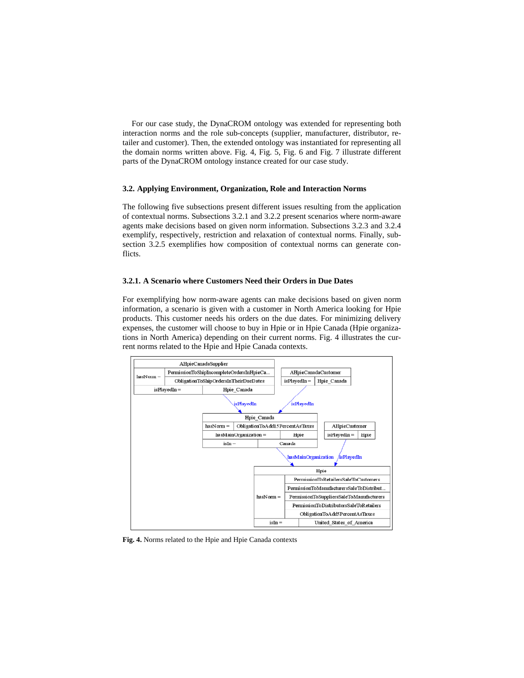For our case study, the DynaCROM ontology was extended for representing both interaction norms and the role sub-concepts (supplier, manufacturer, distributor, retailer and customer). Then, the extended ontology was instantiated for representing all the domain norms written above. Fig. 4, Fig. 5, Fig. 6 and Fig. 7 illustrate different parts of the DynaCROM ontology instance created for our case study.

#### **3.2. Applying Environment, Organization, Role and Interaction Norms**

The following five subsections present different issues resulting from the application of contextual norms. Subsections 3.2.1 and 3.2.2 present scenarios where norm-aware agents make decisions based on given norm information. Subsections 3.2.3 and 3.2.4 exemplify, respectively, restriction and relaxation of contextual norms. Finally, subsection 3.2.5 exemplifies how composition of contextual norms can generate conflicts.

#### **3.2.1. A Scenario where Customers Need their Orders in Due Dates**

For exemplifying how norm-aware agents can make decisions based on given norm information, a scenario is given with a customer in North America looking for Hpie products. This customer needs his orders on the due dates. For minimizing delivery expenses, the customer will choose to buy in Hpie or in Hpie Canada (Hpie organizations in North America) depending on their current norms. Fig. 4 illustrates the current norms related to the Hpie and Hpie Canada contexts.



**Fig. 4.** Norms related to the Hpie and Hpie Canada contexts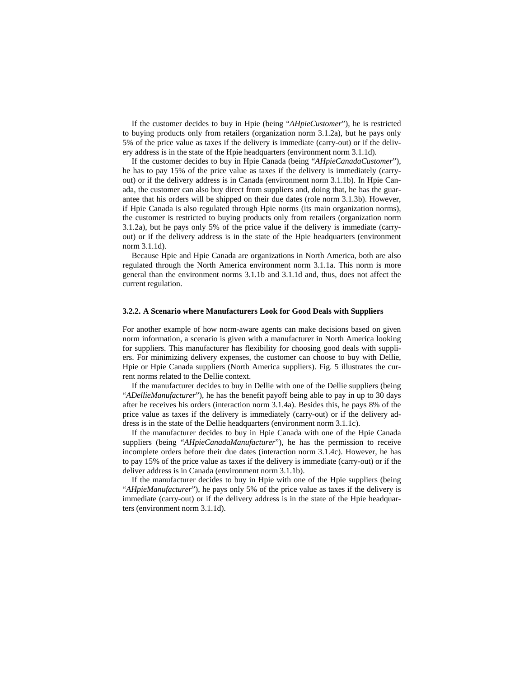If the customer decides to buy in Hpie (being "*AHpieCustomer*"), he is restricted to buying products only from retailers (organization norm 3.1.2a), but he pays only 5% of the price value as taxes if the delivery is immediate (carry-out) or if the delivery address is in the state of the Hpie headquarters (environment norm 3.1.1d).

If the customer decides to buy in Hpie Canada (being "*AHpieCanadaCustomer*"), he has to pay 15% of the price value as taxes if the delivery is immediately (carryout) or if the delivery address is in Canada (environment norm 3.1.1b). In Hpie Canada, the customer can also buy direct from suppliers and, doing that, he has the guarantee that his orders will be shipped on their due dates (role norm 3.1.3b). However, if Hpie Canada is also regulated through Hpie norms (its main organization norms), the customer is restricted to buying products only from retailers (organization norm 3.1.2a), but he pays only 5% of the price value if the delivery is immediate (carryout) or if the delivery address is in the state of the Hpie headquarters (environment norm 3.1.1d).

Because Hpie and Hpie Canada are organizations in North America, both are also regulated through the North America environment norm 3.1.1a. This norm is more general than the environment norms 3.1.1b and 3.1.1d and, thus, does not affect the current regulation.

#### **3.2.2. A Scenario where Manufacturers Look for Good Deals with Suppliers**

For another example of how norm-aware agents can make decisions based on given norm information, a scenario is given with a manufacturer in North America looking for suppliers. This manufacturer has flexibility for choosing good deals with suppliers. For minimizing delivery expenses, the customer can choose to buy with Dellie, Hpie or Hpie Canada suppliers (North America suppliers). Fig. 5 illustrates the current norms related to the Dellie context.

If the manufacturer decides to buy in Dellie with one of the Dellie suppliers (being "*ADellieManufacturer*"), he has the benefit payoff being able to pay in up to 30 days after he receives his orders (interaction norm 3.1.4a). Besides this, he pays 8% of the price value as taxes if the delivery is immediately (carry-out) or if the delivery address is in the state of the Dellie headquarters (environment norm 3.1.1c).

If the manufacturer decides to buy in Hpie Canada with one of the Hpie Canada suppliers (being "*AHpieCanadaManufacturer*"), he has the permission to receive incomplete orders before their due dates (interaction norm 3.1.4c). However, he has to pay 15% of the price value as taxes if the delivery is immediate (carry-out) or if the deliver address is in Canada (environment norm 3.1.1b).

If the manufacturer decides to buy in Hpie with one of the Hpie suppliers (being "*AHpieManufacturer*"), he pays only 5% of the price value as taxes if the delivery is immediate (carry-out) or if the delivery address is in the state of the Hpie headquarters (environment norm 3.1.1d).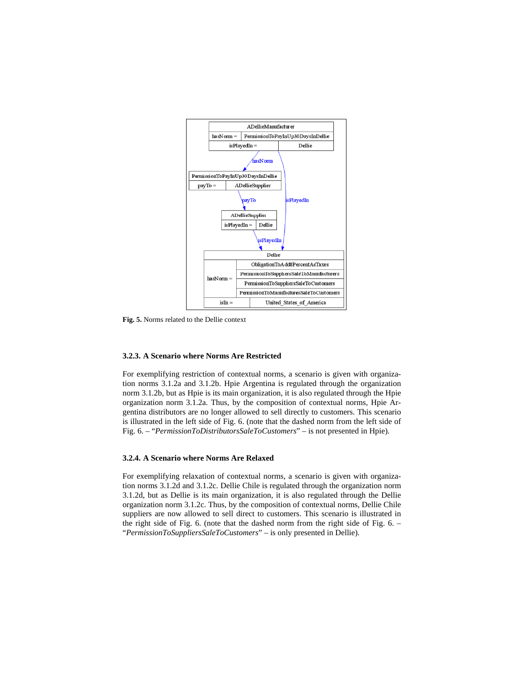

**Fig. 5.** Norms related to the Dellie context

#### **3.2.3. A Scenario where Norms Are Restricted**

For exemplifying restriction of contextual norms, a scenario is given with organization norms 3.1.2a and 3.1.2b. Hpie Argentina is regulated through the organization norm 3.1.2b, but as Hpie is its main organization, it is also regulated through the Hpie organization norm 3.1.2a. Thus, by the composition of contextual norms, Hpie Argentina distributors are no longer allowed to sell directly to customers. This scenario is illustrated in the left side of Fig. 6. (note that the dashed norm from the left side of Fig. 6. – "*PermissionToDistributorsSaleToCustomers*" – is not presented in Hpie).

#### **3.2.4. A Scenario where Norms Are Relaxed**

For exemplifying relaxation of contextual norms, a scenario is given with organization norms 3.1.2d and 3.1.2c. Dellie Chile is regulated through the organization norm 3.1.2d, but as Dellie is its main organization, it is also regulated through the Dellie organization norm 3.1.2c. Thus, by the composition of contextual norms, Dellie Chile suppliers are now allowed to sell direct to customers. This scenario is illustrated in the right side of Fig. 6. (note that the dashed norm from the right side of Fig. 6. – "*PermissionToSuppliersSaleToCustomers*" – is only presented in Dellie).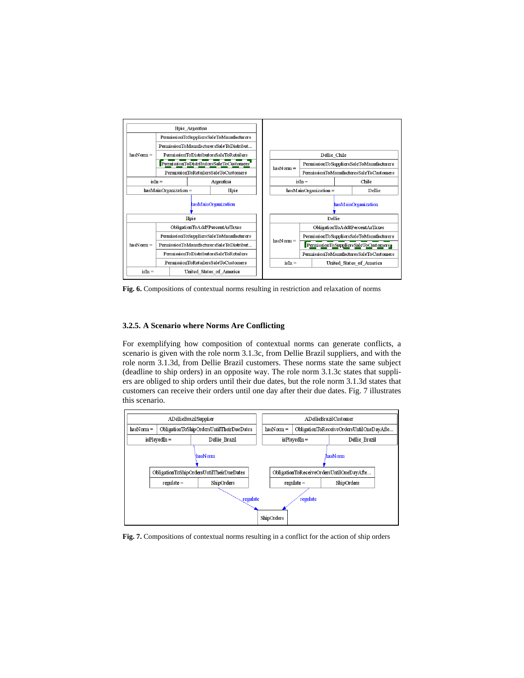

**Fig. 6.** Compositions of contextual norms resulting in restriction and relaxation of norms

## **3.2.5. A Scenario where Norms Are Conflicting**

For exemplifying how composition of contextual norms can generate conflicts, a scenario is given with the role norm 3.1.3c, from Dellie Brazil suppliers, and with the role norm 3.1.3d, from Dellie Brazil customers. These norms state the same subject (deadline to ship orders) in an opposite way. The role norm 3.1.3c states that suppliers are obliged to ship orders until their due dates, but the role norm 3.1.3d states that customers can receive their orders until one day after their due dates. Fig. 7 illustrates this scenario.



**Fig. 7.** Compositions of contextual norms resulting in a conflict for the action of ship orders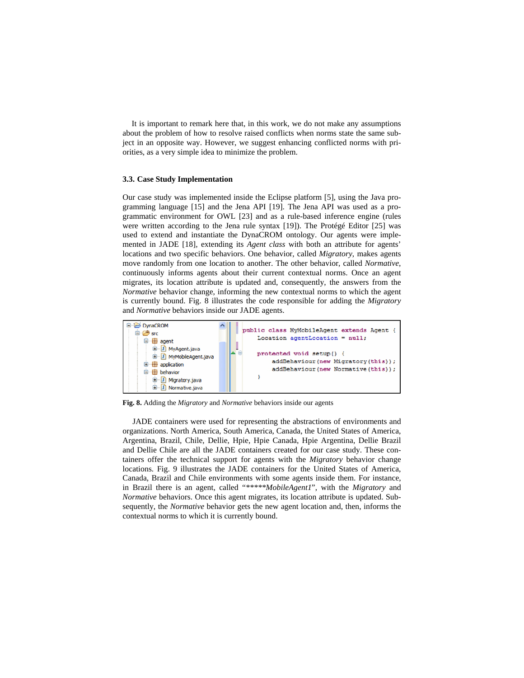It is important to remark here that, in this work, we do not make any assumptions about the problem of how to resolve raised conflicts when norms state the same subject in an opposite way. However, we suggest enhancing conflicted norms with priorities, as a very simple idea to minimize the problem.

#### **3.3. Case Study Implementation**

Our case study was implemented inside the Eclipse platform [5], using the Java programming language [15] and the Jena API [19]. The Jena API was used as a programmatic environment for OWL [23] and as a rule-based inference engine (rules were written according to the Jena rule syntax [19]). The Protégé Editor [25] was used to extend and instantiate the DynaCROM ontology. Our agents were implemented in JADE [18], extending its *Agent class* with both an attribute for agents' locations and two specific behaviors. One behavior, called *Migratory*, makes agents move randomly from one location to another. The other behavior, called *Normative*, continuously informs agents about their current contextual norms. Once an agent migrates, its location attribute is updated and, consequently, the answers from the *Normative* behavior change, informing the new contextual norms to which the agent is currently bound. Fig. 8 illustrates the code responsible for adding the *Migratory* and *Normative* behaviors inside our JADE agents.



**Fig. 8.** Adding the *Migratory* and *Normative* behaviors inside our agents

JADE containers were used for representing the abstractions of environments and organizations. North America, South America, Canada, the United States of America, Argentina, Brazil, Chile, Dellie, Hpie, Hpie Canada, Hpie Argentina, Dellie Brazil and Dellie Chile are all the JADE containers created for our case study. These containers offer the technical support for agents with the *Migratory* behavior change locations. Fig. 9 illustrates the JADE containers for the United States of America, Canada, Brazil and Chile environments with some agents inside them. For instance, in Brazil there is an agent, called "*\*\*\*\*\*MobileAgent1*", with the *Migratory* and *Normative* behaviors. Once this agent migrates, its location attribute is updated. Subsequently, the *Normative* behavior gets the new agent location and, then, informs the contextual norms to which it is currently bound.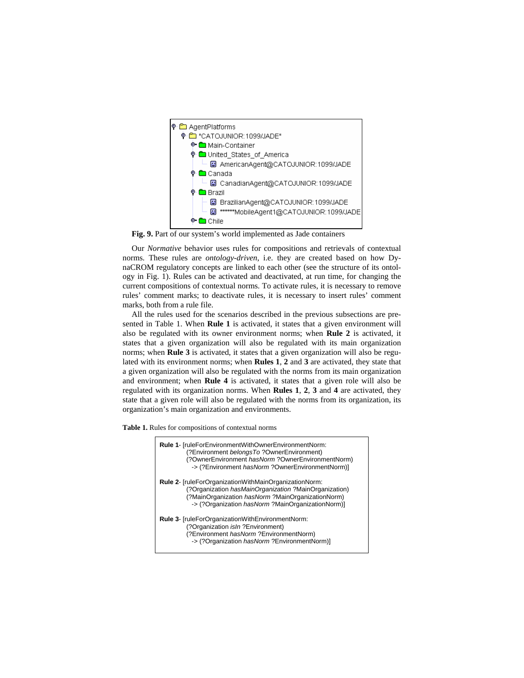

**Fig. 9.** Part of our system's world implemented as Jade containers

Our *Normative* behavior uses rules for compositions and retrievals of contextual norms. These rules are *ontology-driven*, i.e. they are created based on how DynaCROM regulatory concepts are linked to each other (see the structure of its ontology in Fig. 1). Rules can be activated and deactivated, at run time, for changing the current compositions of contextual norms. To activate rules, it is necessary to remove rules' comment marks; to deactivate rules, it is necessary to insert rules' comment marks, both from a rule file.

All the rules used for the scenarios described in the previous subsections are presented in Table 1. When **Rule 1** is activated, it states that a given environment will also be regulated with its owner environment norms; when **Rule 2** is activated, it states that a given organization will also be regulated with its main organization norms; when **Rule 3** is activated, it states that a given organization will also be regulated with its environment norms; when **Rules 1**, **2** and **3** are activated, they state that a given organization will also be regulated with the norms from its main organization and environment; when **Rule 4** is activated, it states that a given role will also be regulated with its organization norms. When **Rules 1**, **2**, **3** and **4** are activated, they state that a given role will also be regulated with the norms from its organization, its organization's main organization and environments.

**Table 1.** Rules for compositions of contextual norms

| Rule 1- [ruleForEnvironmentWithOwnerEnvironmentNorm:<br>(?Environment belongs To ?OwnerEnvironment)<br>(?OwnerEnvironment hasNorm ?OwnerEnvironmentNorm)<br>-> (?Environment hasNorm ?OwnerEnvironmentNorm)]             |
|--------------------------------------------------------------------------------------------------------------------------------------------------------------------------------------------------------------------------|
| Rule 2- [ruleForOrganizationWithMainOrganizationNorm:<br>(?Organization hasMainOrganization ?MainOrganization)<br>(?MainOrganization hasNorm ?MainOrganizationNorm)<br>-> (?Organization hasNorm ?MainOrganizationNorm)] |
| <b>Rule 3-</b> [ruleForOrganizationWithEnvironmentNorm:<br>(?Organization isln?Environment)<br>(?Environment hasNorm?EnvironmentNorm)<br>-> (?Organization hasNorm ?EnvironmentNorm)]                                    |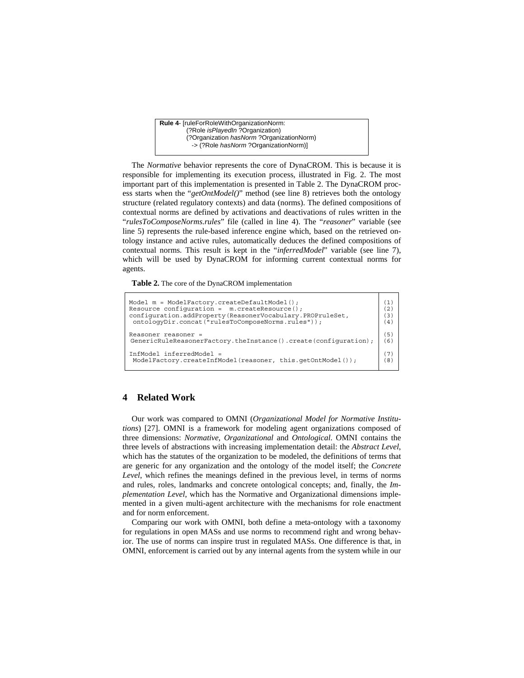| <b>Rule 4- [ruleForRoleWithOrganizationNorm:</b> |  |
|--------------------------------------------------|--|
| (?Role <i>isPlayedIn</i> ?Organization)          |  |
| (?Organization hasNorm?OrganizationNorm)         |  |
| -> (?Role hasNorm ?OrganizationNorm)]            |  |

The *Normative* behavior represents the core of DynaCROM. This is because it is responsible for implementing its execution process, illustrated in Fig. 2. The most important part of this implementation is presented in Table 2. The DynaCROM process starts when the "*getOntModel()*" method (see line 8) retrieves both the ontology structure (related regulatory contexts) and data (norms). The defined compositions of contextual norms are defined by activations and deactivations of rules written in the "*rulesToComposeNorms.rules*" file (called in line 4). The "*reasoner*" variable (see line 5) represents the rule-based inference engine which, based on the retrieved ontology instance and active rules, automatically deduces the defined compositions of contextual norms. This result is kept in the "*inferredModel*" variable (see line 7), which will be used by DynaCROM for informing current contextual norms for agents.

**Table 2.** The core of the DynaCROM implementation

| Model m = ModelFactory.createDefaultModel();<br>Resource configuration = $m$ . createResource();<br>configuration.addProperty(ReasonerVocabulary.PROPruleSet,<br>ontologyDir.concat("rulesToComposeNorms.rules")); | (2)<br>(3)<br>(4) |
|--------------------------------------------------------------------------------------------------------------------------------------------------------------------------------------------------------------------|-------------------|
| Reasoner reasoner =                                                                                                                                                                                                | (5)               |
| GenericRuleReasonerFactory.theInstance().create(configuration);                                                                                                                                                    | (6)               |
| InfModel inferredModel =                                                                                                                                                                                           | (7)               |
| ModelFactory.createInfModel(reasoner, this.qetOntModel());                                                                                                                                                         | (8)               |

### **4 Related Work**

Our work was compared to OMNI (*Organizational Model for Normative Institutions*) [27]. OMNI is a framework for modeling agent organizations composed of three dimensions: *Normative*, *Organizational* and *Ontological*. OMNI contains the three levels of abstractions with increasing implementation detail: the *Abstract Level*, which has the statutes of the organization to be modeled, the definitions of terms that are generic for any organization and the ontology of the model itself; the *Concrete Level*, which refines the meanings defined in the previous level, in terms of norms and rules, roles, landmarks and concrete ontological concepts; and, finally, the *Implementation Level*, which has the Normative and Organizational dimensions implemented in a given multi-agent architecture with the mechanisms for role enactment and for norm enforcement.

Comparing our work with OMNI, both define a meta-ontology with a taxonomy for regulations in open MASs and use norms to recommend right and wrong behavior. The use of norms can inspire trust in regulated MASs. One difference is that, in OMNI, enforcement is carried out by any internal agents from the system while in our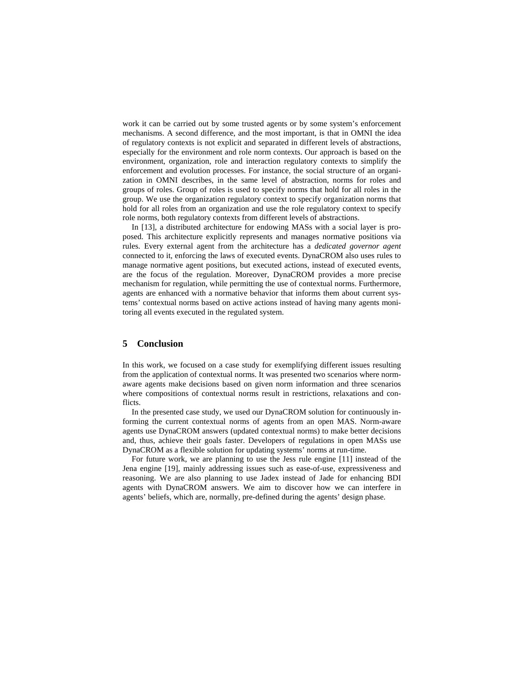work it can be carried out by some trusted agents or by some system's enforcement mechanisms. A second difference, and the most important, is that in OMNI the idea of regulatory contexts is not explicit and separated in different levels of abstractions, especially for the environment and role norm contexts. Our approach is based on the environment, organization, role and interaction regulatory contexts to simplify the enforcement and evolution processes. For instance, the social structure of an organization in OMNI describes, in the same level of abstraction, norms for roles and groups of roles. Group of roles is used to specify norms that hold for all roles in the group. We use the organization regulatory context to specify organization norms that hold for all roles from an organization and use the role regulatory context to specify role norms, both regulatory contexts from different levels of abstractions.

In [13], a distributed architecture for endowing MASs with a social layer is proposed. This architecture explicitly represents and manages normative positions via rules. Every external agent from the architecture has a *dedicated governor agent* connected to it, enforcing the laws of executed events. DynaCROM also uses rules to manage normative agent positions, but executed actions, instead of executed events, are the focus of the regulation. Moreover, DynaCROM provides a more precise mechanism for regulation, while permitting the use of contextual norms. Furthermore, agents are enhanced with a normative behavior that informs them about current systems' contextual norms based on active actions instead of having many agents monitoring all events executed in the regulated system.

## **5 Conclusion**

In this work, we focused on a case study for exemplifying different issues resulting from the application of contextual norms. It was presented two scenarios where normaware agents make decisions based on given norm information and three scenarios where compositions of contextual norms result in restrictions, relaxations and conflicts.

In the presented case study, we used our DynaCROM solution for continuously informing the current contextual norms of agents from an open MAS. Norm-aware agents use DynaCROM answers (updated contextual norms) to make better decisions and, thus, achieve their goals faster. Developers of regulations in open MASs use DynaCROM as a flexible solution for updating systems' norms at run-time.

For future work, we are planning to use the Jess rule engine [11] instead of the Jena engine [19], mainly addressing issues such as ease-of-use, expressiveness and reasoning. We are also planning to use Jadex instead of Jade for enhancing BDI agents with DynaCROM answers. We aim to discover how we can interfere in agents' beliefs, which are, normally, pre-defined during the agents' design phase.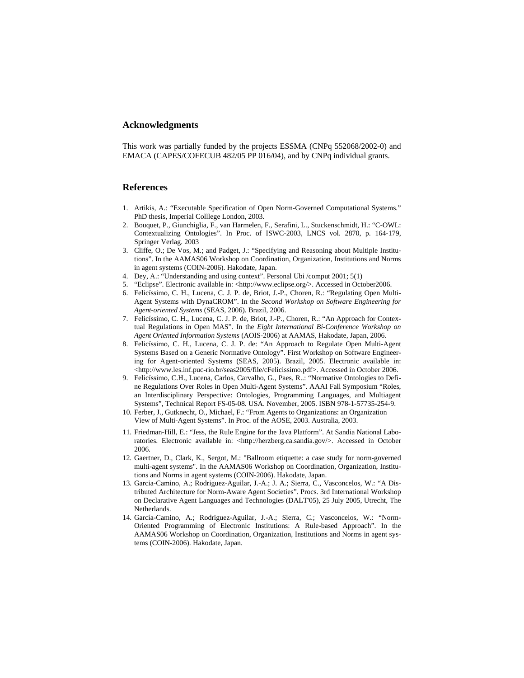### **Acknowledgments**

This work was partially funded by the projects ESSMA (CNPq 552068/2002-0) and EMACA (CAPES/COFECUB 482/05 PP 016/04), and by CNPq individual grants.

### **References**

- 1. Artikis, A.: "Executable Specification of Open Norm-Governed Computational Systems." PhD thesis, Imperial Colllege London, 2003.
- 2. Bouquet, P., Giunchiglia, F., van Harmelen, F., Serafini, L., Stuckenschmidt, H.: "C-OWL: Contextualizing Ontologies". In Proc. of ISWC-2003, LNCS vol. 2870, p. 164-179, Springer Verlag. 2003
- 3. Cliffe, O.; De Vos, M.; and Padget, J.: "Specifying and Reasoning about Multiple Institutions". In the AAMAS06 Workshop on Coordination, Organization, Institutions and Norms in agent systems (COIN-2006). Hakodate, Japan.
- 4. Dey, A.: "Understanding and using context". Personal Ubi /comput 2001; 5(1)
- 5. "Eclipse". Electronic available in: <http://www.eclipse.org/>. Accessed in October2006.
- 6. Felicíssimo, C. H., Lucena, C. J. P. de, Briot, J.-P., Choren, R.: "Regulating Open Multi-Agent Systems with DynaCROM". In the *Second Workshop on Software Engineering for Agent-oriented Systems* (SEAS, 2006). Brazil, 2006.
- 7. Felicíssimo, C. H., Lucena, C. J. P. de, Briot, J.-P., Choren, R.: "An Approach for Contextual Regulations in Open MAS". In the *Eight International Bi-Conference Workshop on Agent Oriented Information Systems* (AOIS-2006) at AAMAS, Hakodate, Japan, 2006.
- 8. Felicíssimo, C. H., Lucena, C. J. P. de: "An Approach to Regulate Open Multi-Agent Systems Based on a Generic Normative Ontology". First Workshop on Software Engineering for Agent-oriented Systems (SEAS, 2005). Brazil, 2005. Electronic available in: <http://www.les.inf.puc-rio.br/seas2005/file/cFelicissimo.pdf>. Accessed in October 2006.
- 9. Felicíssimo, C.H., Lucena, Carlos, Carvalho, G., Paes, R..: "Normative Ontologies to Define Regulations Over Roles in Open Multi-Agent Systems". AAAI Fall Symposium "Roles, an Interdisciplinary Perspective: Ontologies, Programming Languages, and Multiagent Systems", Technical Report FS-05-08. USA. November, 2005. ISBN 978-1-57735-254-9.
- 10. Ferber, J., Gutknecht, O., Michael, F.: "From Agents to Organizations: an Organization View of Multi-Agent Systems". In Proc. of the AOSE, 2003. Australia, 2003.
- 11. Friedman-Hill, E.: "Jess, the Rule Engine for the Java Platform". At Sandia National Laboratories. Electronic available in: <http://herzberg.ca.sandia.gov/>. Accessed in October 2006.
- 12. Gaertner, D., Clark, K., Sergot, M.: "Ballroom etiquette: a case study for norm-governed multi-agent systems". In the AAMAS06 Workshop on Coordination, Organization, Institutions and Norms in agent systems (COIN-2006). Hakodate, Japan.
- 13. Garcia-Camino, A.; Rodriguez-Aguilar, J.-A.; J. A.; Sierra, C., Vasconcelos, W.: "A Distributed Architecture for Norm-Aware Agent Societies". Procs. 3rd International Workshop on Declarative Agent Languages and Technologies (DALT'05), 25 July 2005, Utrecht, The Netherlands.
- 14. García-Camino, A.; Rodriguez-Aguilar, J.-A.; Sierra, C.; Vasconcelos, W.: "Norm-Oriented Programming of Electronic Institutions: A Rule-based Approach". In the AAMAS06 Workshop on Coordination, Organization, Institutions and Norms in agent systems (COIN-2006). Hakodate, Japan.